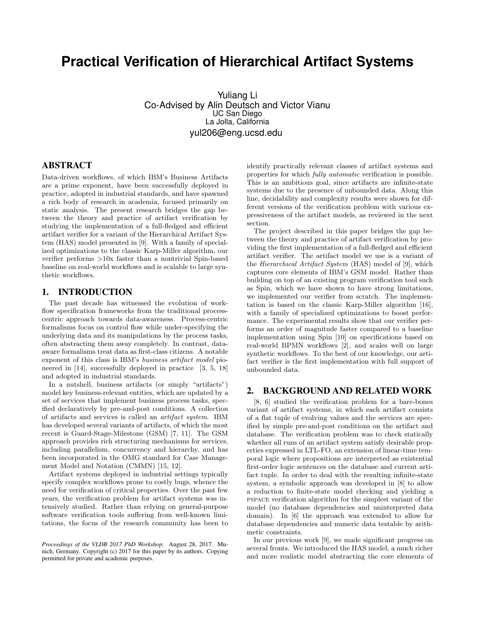# **Practical Verification of Hierarchical Artifact Systems**

Yuliang Li Co-Advised by Alin Deutsch and Victor Vianu UC San Diego La Jolla, California yul206@eng.ucsd.edu

# ABSTRACT

Data-driven workflows, of which IBM's Business Artifacts are a prime exponent, have been successfully deployed in practice, adopted in industrial standards, and have spawned a rich body of research in academia, focused primarily on static analysis. The present research bridges the gap between the theory and practice of artifact verification by studying the implementation of a full-fledged and efficient artifact verifier for a variant of the Hierarchical Artifact System (HAS) model presented in [9]. With a family of specialized optimizations to the classic Karp-Miller algorithm, our verifier performs >10x faster than a nontrivial Spin-based baseline on real-world workflows and is scalable to large synthetic workflows.

### 1. INTRODUCTION

The past decade has witnessed the evolution of workflow specification frameworks from the traditional processcentric approach towards data-awareness. Process-centric formalisms focus on control flow while under-specifying the underlying data and its manipulations by the process tasks, often abstracting them away completely. In contrast, dataaware formalisms treat data as first-class citizens. A notable exponent of this class is IBM's business artifact model pioneered in [14], successfully deployed in practice [3, 5, 18] and adopted in industrial standards.

In a nutshell, business artifacts (or simply "artifacts") model key business-relevant entities, which are updated by a set of services that implement business process tasks, specified declaratively by pre-and-post conditions. A collection of artifacts and services is called an artifact system. IBM has developed several variants of artifacts, of which the most recent is Guard-Stage-Milestone (GSM) [7, 11]. The GSM approach provides rich structuring mechanisms for services, including parallelism, concurrency and hierarchy, and has been incorporated in the OMG standard for Case Management Model and Notation (CMMN) [15, 12].

Artifact systems deployed in industrial settings typically specify complex workflows prone to costly bugs, whence the need for verification of critical properties. Over the past few years, the verification problem for artifact systems was intensively studied. Rather than relying on general-purpose software verification tools suffering from well-known limitations, the focus of the research community has been to

*Proceedings of the VLDB 2017 PhD Workshop,* August 28, 2017. Munich, Germany. Copyright (c) 2017 for this paper by its authors. Copying permitted for private and academic purposes.

identify practically relevant classes of artifact systems and properties for which fully automatic verification is possible. This is an ambitious goal, since artifacts are infinite-state systems due to the presence of unbounded data. Along this line, decidability and complexity results were shown for different versions of the verification problem with various expressiveness of the artifact models, as reviewed in the next section.

The project described in this paper bridges the gap between the theory and practice of artifact verification by providing the first implementation of a full-fledged and efficient artifact verifier. The artifact model we use is a variant of the Hierarchical Artifact System (HAS) model of [9], which captures core elements of IBM's GSM model. Rather than building on top of an existing program verification tool such as Spin, which we have shown to have strong limitations, we implemented our verifier from scratch. The implementation is based on the classic Karp-Miller algorithm [16], with a family of specialized optimizations to boost performance. The experimental results show that our verifier performs an order of magnitude faster compared to a baseline implementation using Spin [10] on specifications based on real-world BPMN workflows [2], and scales well on large synthetic workflows. To the best of our knowledge, our artifact verifier is the first implementation with full support of unbounded data.

# 2. BACKGROUND AND RELATED WORK

[8, 6] studied the verification problem for a bare-bones variant of artifact systems, in which each artifact consists of a flat tuple of evolving values and the services are specified by simple pre-and-post conditions on the artifact and database. The verification problem was to check statically whether all runs of an artifact system satisfy desirable properties expressed in LTL-FO, an extension of linear-time temporal logic where propositions are interpreted as existential first-order logic sentences on the database and current artifact tuple. In order to deal with the resulting infinite-state system, a symbolic approach was developed in [8] to allow a reduction to finite-state model checking and yielding a pspace verification algorithm for the simplest variant of the model (no database dependencies and uninterpreted data domain). In [6] the approach was extended to allow for database dependencies and numeric data testable by arithmetic constraints.

In our previous work [9], we made significant progress on several fronts. We introduced the HAS model, a much richer and more realistic model abstracting the core elements of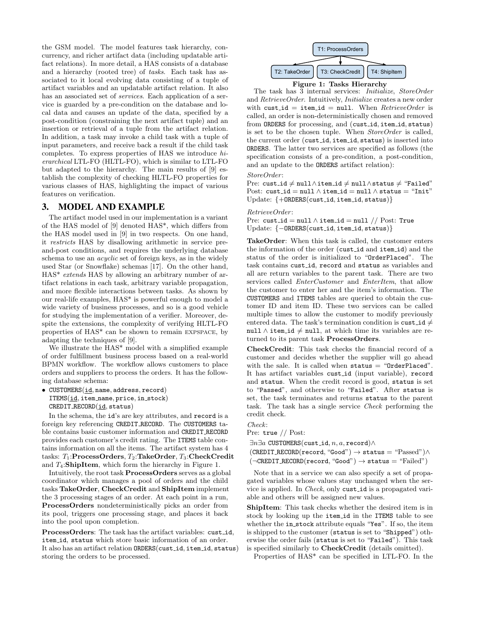the GSM model. The model features task hierarchy, concurrency, and richer artifact data (including updatable artifact relations). In more detail, a HAS consists of a database and a hierarchy (rooted tree) of tasks. Each task has associated to it local evolving data consisting of a tuple of artifact variables and an updatable artifact relation. It also has an associated set of *services*. Each application of a service is guarded by a pre-condition on the database and local data and causes an update of the data, specified by a post-condition (constraining the next artifact tuple) and an insertion or retrieval of a tuple from the artifact relation. In addition, a task may invoke a child task with a tuple of input parameters, and receive back a result if the child task completes. To express properties of HAS we introduce hierarchical LTL-FO (HLTL-FO), which is similar to LTL-FO but adapted to the hierarchy. The main results of [9] establish the complexity of checking HLTL-FO properties for various classes of HAS, highlighting the impact of various features on verification.

#### 3. MODEL AND EXAMPLE

The artifact model used in our implementation is a variant of the HAS model of [9] denoted HAS\*, which differs from the HAS model used in [9] in two respects. On one hand, it restricts HAS by disallowing arithmetic in service preand-post conditions, and requires the underlying database schema to use an *acyclic* set of foreign keys, as in the widely used Star (or Snowflake) schemas [17]. On the other hand, HAS\* extends HAS by allowing an arbitrary number of artifact relations in each task, arbitrary variable propagation, and more flexible interactions between tasks. As shown by our real-life examples, HAS\* is powerful enough to model a wide variety of business processes, and so is a good vehicle for studying the implementation of a verifier. Moreover, despite the extensions, the complexity of verifying HLTL-FO properties of HAS\* can be shown to remain expspace, by adapting the techniques of [9].

We illustrate the HAS\* model with a simplified example of order fulfillment business process based on a real-world BPMN workflow. The workflow allows customers to place orders and suppliers to process the orders. It has the following database schema:

• CUSTOMERS(id, name, address, record) ITEMS(id, item\_name, price, in\_stock) CREDIT RECORD(id, status)

In the schema, the id's are key attributes, and record is a foreign key referencing CREDIT RECORD. The CUSTOMERS table contains basic customer information and CREDIT RECORD provides each customer's credit rating. The ITEMS table contains information on all the items. The artifact system has 4 tasks:  $T_1$ :ProcessOrders,  $T_2$ :TakeOrder,  $T_3$ :CheckCredit and  $T_4$ :**ShipItem**, which form the hierarchy in Figure 1.

Intuitively, the root task ProcessOrders serves as a global coordinator which manages a pool of orders and the child tasks TakeOrder, CheckCredit and ShipItem implement the 3 processing stages of an order. At each point in a run, ProcessOrders nondeterministically picks an order from its pool, triggers one processing stage, and places it back into the pool upon completion.

ProcessOrders: The task has the artifact variables: cust\_id, item id, status which store basic information of an order. It also has an artifact relation ORDERS(cust id, item id, status) storing the orders to be processed.



Figure 1: Tasks Hierarchy

The task has 3 internal services: Initialize, StoreOrder and RetrieveOrder. Intuitively, Initialize creates a new order with cust id = item id = null. When  $ReferenceOrder$  is called, an order is non-deterministically chosen and removed from ORDERS for processing, and (cust\_id, item\_id, status) is set to be the chosen tuple. When StoreOrder is called, the current order (cust id, item id, status) is inserted into ORDERS. The latter two services are specified as follows (the specification consists of a pre-condition, a post-condition, and an update to the ORDERS artifact relation):

StoreOrder:

Pre: cust\_id ≠ null∧item\_id ≠ null∧status ≠ "Failed" Post: cust\_id = null  $\land$  item\_id = null  $\land$  status = "Init" Update: {+0RDERS(cust\_id, item\_id, status)}

RetrieveOrder :

Pre: cust\_id = null  $\land$  item\_id = null  $//$  Post: True Update: {−ORDERS(cust id, item id, status)}

TakeOrder: When this task is called, the customer enters the information of the order (cust id and item id) and the status of the order is initialized to "OrderPlaced". The task contains cust id, record and status as variables and all are return variables to the parent task. There are two services called *EnterCustomer* and *EnterItem*, that allow the customer to enter her and the item's information. The CUSTOMERS and ITEMS tables are queried to obtain the customer ID and item ID. These two services can be called multiple times to allow the customer to modify previously entered data. The task's termination condition is cust-id  $\neq$ null ∧ item\_id  $\neq$  null, at which time its variables are returned to its parent task ProcessOrders.

CheckCredit: This task checks the financial record of a customer and decides whether the supplier will go ahead with the sale. It is called when  $status = "OrderPlaced".$ It has artifact variables cust id (input variable), record and status. When the credit record is good, status is set to "Passed", and otherwise to "Failed". After status is set, the task terminates and returns status to the parent task. The task has a single service Check performing the credit check.

Check:

Pre: true // Post:

∃ $n$ ∃a CUSTOMERS(cust\_id,  $n, a$ , record)∧

 $(CREDIT\_RECORD(record, "Good") \rightarrow status = "Passed") \wedge$  $(\neg \texttt{CREDIT\_RECORD}(\texttt{record}, \text{``Good''}) \rightarrow \texttt{status} = \text{``Failed''})$ 

Note that in a service we can also specify a set of propagated variables whose values stay unchanged when the service is applied. In Check, only cust id is a propagated variable and others will be assigned new values.

ShipItem: This task checks whether the desired item is in stock by looking up the item id in the ITEMS table to see whether the in\_stock attribute equals "Yes". If so, the item is shipped to the customer (status is set to "Shipped") otherwise the order fails (status is set to "Failed"). This task is specified similarly to CheckCredit (details omitted).

Properties of HAS\* can be specified in LTL-FO. In the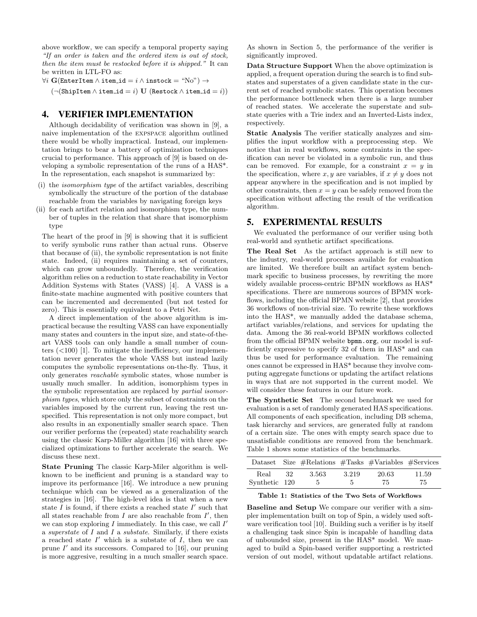above workflow, we can specify a temporal property saying "If an order is taken and the ordered item is out of stock, then the item must be restocked before it is shipped." It can be written in LTL-FO as:

 $\forall i \mathbf{G}(\texttt{EnterItem} \land \texttt{item_id} = i \land \texttt{instock} = \text{``No''}) \rightarrow$ 

 $(\neg(\mathtt{ShipItem} \land \mathtt{item_id} = i) \mathbf{U} (\mathtt{Restock} \land \mathtt{item_id} = i))$ 

# 4. VERIFIER IMPLEMENTATION

Although decidability of verification was shown in [9], a naive implementation of the expspace algorithm outlined there would be wholly impractical. Instead, our implementation brings to bear a battery of optimization techniques crucial to performance. This approach of [9] is based on developing a symbolic representation of the runs of a HAS\*. In the representation, each snapshot is summarized by:

- (i) the isomorphism type of the artifact variables, describing symbolically the structure of the portion of the database reachable from the variables by navigating foreign keys
- (ii) for each artifact relation and isomorphism type, the number of tuples in the relation that share that isomorphism type

The heart of the proof in [9] is showing that it is sufficient to verify symbolic runs rather than actual runs. Observe that because of (ii), the symbolic representation is not finite state. Indeed, (ii) requires maintaining a set of counters, which can grow unboundedly. Therefore, the verification algorithm relies on a reduction to state reachability in Vector Addition Systems with States (VASS) [4]. A VASS is a finite-state machine augmented with positive counters that can be incremented and decremented (but not tested for zero). This is essentially equivalent to a Petri Net.

A direct implementation of the above algorithm is impractical because the resulting VASS can have exponentially many states and counters in the input size, and state-of-theart VASS tools can only handle a small number of counters  $(<100)$  [1]. To mitigate the inefficiency, our implementation never generates the whole VASS but instead lazily computes the symbolic representations on-the-fly. Thus, it only generates reachable symbolic states, whose number is usually much smaller. In addition, isomorphism types in the symbolic representation are replaced by partial isomorphism types, which store only the subset of constraints on the variables imposed by the current run, leaving the rest unspecified. This representation is not only more compact, but also results in an exponentially smaller search space. Then our verifier performs the (repeated) state reachability search using the classic Karp-Miller algorithm [16] with three specialized optimizations to further accelerate the search. We discuss these next.

State Pruning The classic Karp-Miler algorithm is wellknown to be inefficient and pruning is a standard way to improve its performance [16]. We introduce a new pruning technique which can be viewed as a generalization of the strategies in [16]. The high-level idea is that when a new state  $\overline{I}$  is found, if there exists a reached state  $I'$  such that all states reachable from  $I$  are also reachable from  $I'$ , then we can stop exploring  $I$  immediately. In this case, we call  $I'$ a superstate of I and I a substate. Similarly, if there exists a reached state  $I'$  which is a substate of  $I$ , then we can prune  $I'$  and its successors. Compared to [16], our pruning is more aggresive, resulting in a much smaller search space.

As shown in Section 5, the performance of the verifier is significantly improved.

Data Structure Support When the above optimization is applied, a frequent operation during the search is to find substates and superstates of a given candidate state in the current set of reached symbolic states. This operation becomes the performance bottleneck when there is a large number of reached states. We accelerate the superstate and substate queries with a Trie index and an Inverted-Lists index, respectively.

Static Analysis The verifier statically analyzes and simplifies the input workflow with a preprocessing step. We notice that in real workflows, some contraints in the specification can never be violated in a symbolic run, and thus can be removed. For example, for a constraint  $x = y$  in the specification, where x, y are variables, if  $x \neq y$  does not appear anywhere in the specification and is not implied by other constraints, then  $x = y$  can be safely removed from the specification without affecting the result of the verification algorithm.

### 5. EXPERIMENTAL RESULTS

We evaluated the performance of our verifier using both real-world and synthetic artifact specifications.

The Real Set As the artifact approach is still new to the industry, real-world processes available for evaluation are limited. We therefore built an artifact system benchmark specific to business processes, by rewriting the more widely available process-centric BPMN workflows as HAS\* specifications. There are numerous sources of BPMN workflows, including the official BPMN website [2], that provides 36 workflows of non-trivial size. To rewrite these workflows into the HAS\*, we manually added the database schema, artifact variables/relations, and services for updating the data. Among the 36 real-world BPMN workflows collected from the official BPMN website bpmn.org, our model is sufficiently expressive to specify 32 of them in HAS\* and can thus be used for performance evaluation. The remaining ones cannot be expressed in HAS\* because they involve computing aggregate functions or updating the artifact relations in ways that are not supported in the current model. We will consider these features in our future work.

The Synthetic Set The second benchmark we used for evaluation is a set of randomly generated HAS specifications. All components of each specification, including DB schema, task hierarchy and services, are generated fully at random of a certain size. The ones with empty search space due to unsatisfiable conditions are removed from the benchmark. Table 1 shows some statistics of the benchmarks.

|               |     | Dataset Size #Relations #Tasks #Variables #Services |       |       |       |
|---------------|-----|-----------------------------------------------------|-------|-------|-------|
| Real          | -32 | 3.563                                               | 3.219 | 20.63 | 11.59 |
| Synthetic 120 |     |                                                     | 5     | 75    | 75    |

Table 1: Statistics of the Two Sets of Workflows

Baseline and Setup We compare our verifier with a simpler implementation built on top of Spin, a widely used software verification tool [10]. Building such a verifier is by itself a challenging task since Spin is incapable of handling data of unbounded size, present in the HAS\* model. We managed to build a Spin-based verifier supporting a restricted version of out model, without updatable artifact relations.